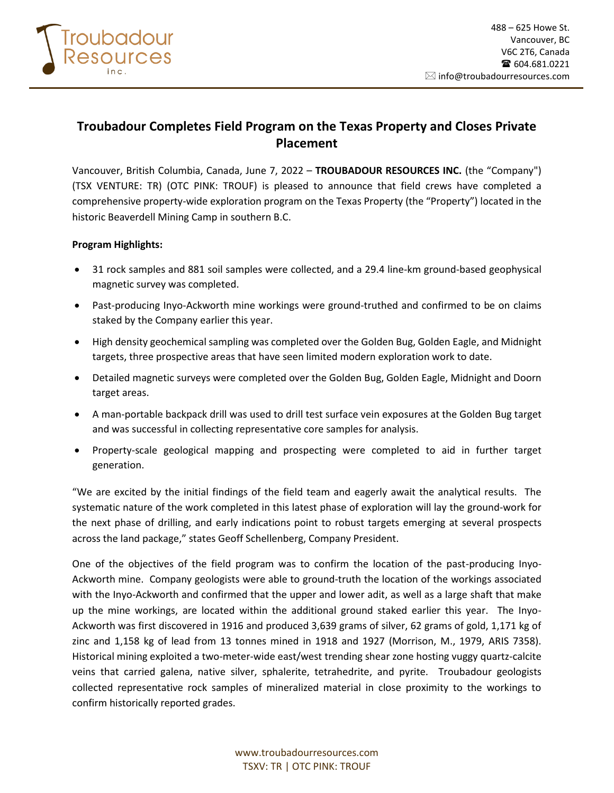

# **Troubadour Completes Field Program on the Texas Property and Closes Private Placement**

Vancouver, British Columbia, Canada, June 7, 2022 – **TROUBADOUR RESOURCES INC.** (the "Company") (TSX VENTURE: TR) (OTC PINK: TROUF) is pleased to announce that field crews have completed a comprehensive property-wide exploration program on the Texas Property (the "Property") located in the historic Beaverdell Mining Camp in southern B.C.

## **Program Highlights:**

- 31 rock samples and 881 soil samples were collected, and a 29.4 line-km ground-based geophysical magnetic survey was completed.
- Past-producing Inyo-Ackworth mine workings were ground-truthed and confirmed to be on claims staked by the Company earlier this year.
- High density geochemical sampling was completed over the Golden Bug, Golden Eagle, and Midnight targets, three prospective areas that have seen limited modern exploration work to date.
- Detailed magnetic surveys were completed over the Golden Bug, Golden Eagle, Midnight and Doorn target areas.
- A man-portable backpack drill was used to drill test surface vein exposures at the Golden Bug target and was successful in collecting representative core samples for analysis.
- Property-scale geological mapping and prospecting were completed to aid in further target generation.

"We are excited by the initial findings of the field team and eagerly await the analytical results. The systematic nature of the work completed in this latest phase of exploration will lay the ground-work for the next phase of drilling, and early indications point to robust targets emerging at several prospects across the land package," states Geoff Schellenberg, Company President.

One of the objectives of the field program was to confirm the location of the past-producing Inyo-Ackworth mine. Company geologists were able to ground-truth the location of the workings associated with the Inyo-Ackworth and confirmed that the upper and lower adit, as well as a large shaft that make up the mine workings, are located within the additional ground staked earlier this year. The Inyo-Ackworth was first discovered in 1916 and produced 3,639 grams of silver, 62 grams of gold, 1,171 kg of zinc and 1,158 kg of lead from 13 tonnes mined in 1918 and 1927 (Morrison, M., 1979, ARIS 7358). Historical mining exploited a two-meter-wide east/west trending shear zone hosting vuggy quartz-calcite veins that carried galena, native silver, sphalerite, tetrahedrite, and pyrite. Troubadour geologists collected representative rock samples of mineralized material in close proximity to the workings to confirm historically reported grades.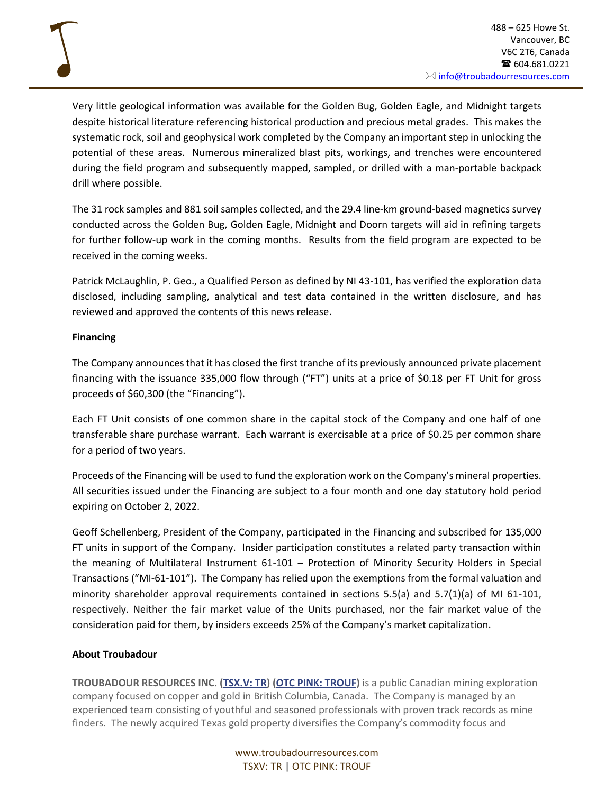Very little geological information was available for the Golden Bug, Golden Eagle, and Midnight targets despite historical literature referencing historical production and precious metal grades. This makes the systematic rock, soil and geophysical work completed by the Company an important step in unlocking the potential of these areas. Numerous mineralized blast pits, workings, and trenches were encountered during the field program and subsequently mapped, sampled, or drilled with a man-portable backpack drill where possible.

The 31 rock samples and 881 soil samples collected, and the 29.4 line-km ground-based magnetics survey conducted across the Golden Bug, Golden Eagle, Midnight and Doorn targets will aid in refining targets for further follow-up work in the coming months. Results from the field program are expected to be received in the coming weeks.

Patrick McLaughlin, P. Geo., a Qualified Person as defined by NI 43-101, has verified the exploration data disclosed, including sampling, analytical and test data contained in the written disclosure, and has reviewed and approved the contents of this news release.

## **Financing**

The Company announces that it has closed the first tranche of its previously announced private placement financing with the issuance 335,000 flow through ("FT") units at a price of \$0.18 per FT Unit for gross proceeds of \$60,300 (the "Financing").

Each FT Unit consists of one common share in the capital stock of the Company and one half of one transferable share purchase warrant. Each warrant is exercisable at a price of \$0.25 per common share for a period of two years.

Proceeds of the Financing will be used to fund the exploration work on the Company's mineral properties. All securities issued under the Financing are subject to a four month and one day statutory hold period expiring on October 2, 2022.

Geoff Schellenberg, President of the Company, participated in the Financing and subscribed for 135,000 FT units in support of the Company. Insider participation constitutes a related party transaction within the meaning of Multilateral Instrument 61-101 – Protection of Minority Security Holders in Special Transactions ("MI-61-101"). The Company has relied upon the exemptions from the formal valuation and minority shareholder approval requirements contained in sections 5.5(a) and 5.7(1)(a) of MI 61-101, respectively. Neither the fair market value of the Units purchased, nor the fair market value of the consideration paid for them, by insiders exceeds 25% of the Company's market capitalization.

#### **About Troubadour**

**TROUBADOUR RESOURCES INC. [\(TSX.V: TR\)](https://www.stockwatch.com/Quote/Detail.aspx?symbol=TR®ion=C) (OTC [PINK: TROUF\)](https://ca.finance.yahoo.com/quote/TROUF?p=TROUF&.tsrc=fin-srch=TROUF)** is a public Canadian mining exploration company focused on copper and gold in British Columbia, Canada. The Company is managed by an experienced team consisting of youthful and seasoned professionals with proven track records as mine finders. The newly acquired Texas gold property diversifies the Company's commodity focus and

> www.troubadourresources.com TSXV: TR | OTC PINK: TROUF